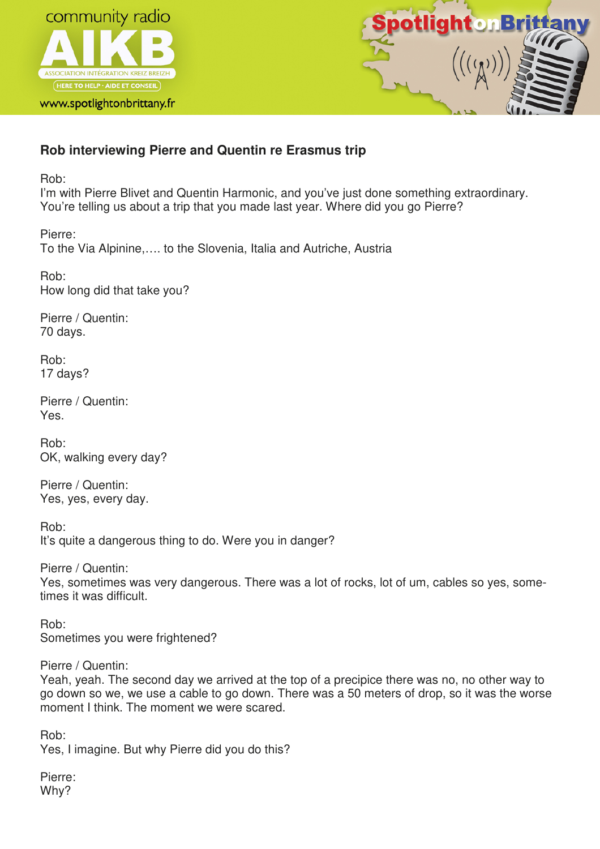



## **Rob interviewing Pierre and Quentin re Erasmus trip**

Rob:

I'm with Pierre Blivet and Quentin Harmonic, and you've just done something extraordinary. You're telling us about a trip that you made last year. Where did you go Pierre?

Pierre:

To the Via Alpinine,…. to the Slovenia, Italia and Autriche, Austria

Rob: How long did that take you?

Pierre / Quentin: 70 days.

Rob: 17 days?

Pierre / Quentin: Yes.

Rob: OK, walking every day?

Pierre / Quentin: Yes, yes, every day.

Rob: It's quite a dangerous thing to do. Were you in danger?

Pierre / Quentin: Yes, sometimes was very dangerous. There was a lot of rocks, lot of um, cables so yes, sometimes it was difficult.

Rob: Sometimes you were frightened?

Pierre / Quentin:

Yeah, yeah. The second day we arrived at the top of a precipice there was no, no other way to go down so we, we use a cable to go down. There was a 50 meters of drop, so it was the worse moment I think. The moment we were scared.

Rob:

Yes, I imagine. But why Pierre did you do this?

Pierre: Why?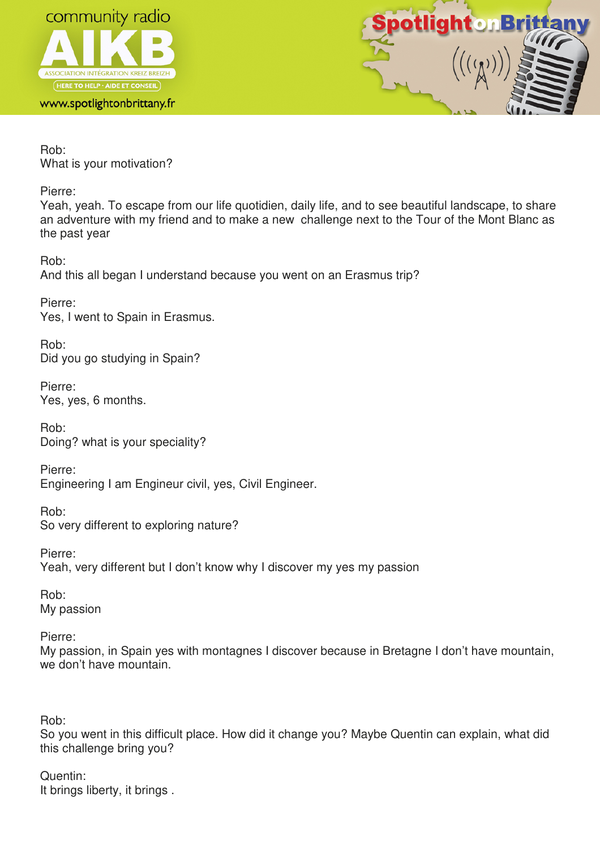



Rob: What is your motivation?

Pierre:

Yeah, yeah. To escape from our life quotidien, daily life, and to see beautiful landscape, to share an adventure with my friend and to make a new challenge next to the Tour of the Mont Blanc as the past year

Rob: And this all began I understand because you went on an Erasmus trip?

Pierre: Yes, I went to Spain in Erasmus.

Rob: Did you go studying in Spain?

Pierre: Yes, yes, 6 months.

Rob: Doing? what is your speciality?

Pierre: Engineering I am Engineur civil, yes, Civil Engineer.

Rob: So very different to exploring nature?

Pierre: Yeah, very different but I don't know why I discover my yes my passion

Rob: My passion

Pierre:

My passion, in Spain yes with montagnes I discover because in Bretagne I don't have mountain, we don't have mountain.

Rob:

So you went in this difficult place. How did it change you? Maybe Quentin can explain, what did this challenge bring you?

Quentin: It brings liberty, it brings .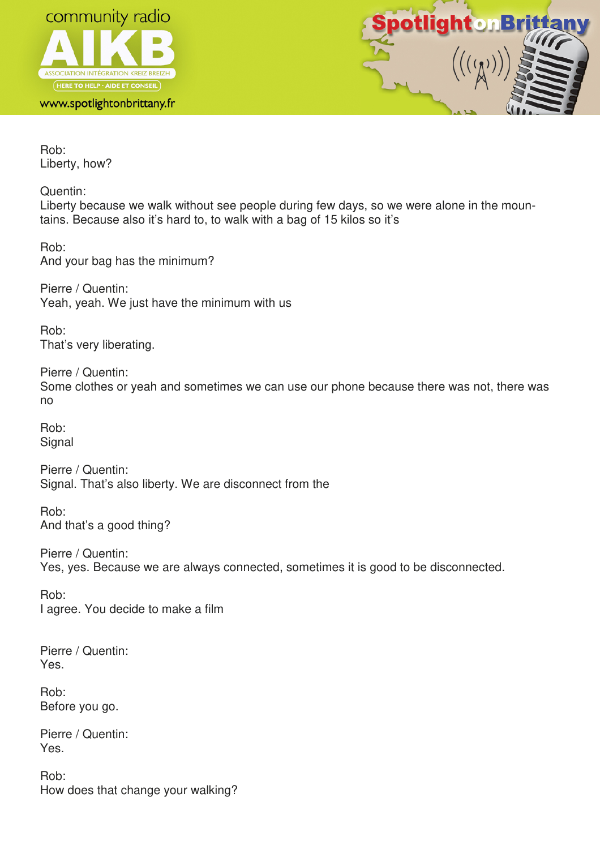



Rob: Liberty, how?

Quentin: Liberty because we walk without see people during few days, so we were alone in the mountains. Because also it's hard to, to walk with a bag of 15 kilos so it's

Rob: And your bag has the minimum?

Pierre / Quentin: Yeah, yeah. We just have the minimum with us

Rob: That's very liberating.

Pierre / Quentin: Some clothes or yeah and sometimes we can use our phone because there was not, there was no

Rob: **Signal** 

Pierre / Quentin: Signal. That's also liberty. We are disconnect from the

Rob: And that's a good thing?

Pierre / Quentin: Yes, yes. Because we are always connected, sometimes it is good to be disconnected.

Rob: I agree. You decide to make a film

Pierre / Quentin: Yes.

Rob: Before you go.

Pierre / Quentin: Yes.

Rob: How does that change your walking?